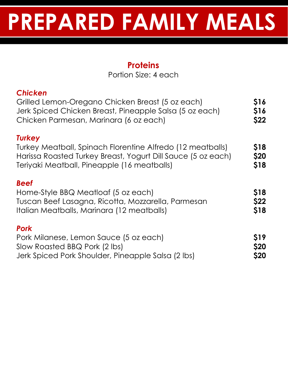#### **Proteins**

Portion Size: 4 each

| <b>Chicken</b><br>Grilled Lemon-Oregano Chicken Breast (5 oz each)<br>Jerk Spiced Chicken Breast, Pineapple Salsa (5 oz each)<br>Chicken Parmesan, Marinara (6 oz each)                    | <b>\$16</b><br>\$16<br>\$22 |
|--------------------------------------------------------------------------------------------------------------------------------------------------------------------------------------------|-----------------------------|
| <b>Turkey</b><br>Turkey Meatball, Spinach Florentine Alfredo (12 meatballs)<br>Harissa Roasted Turkey Breast, Yogurt Dill Sauce (5 oz each)<br>Teriyaki Meatball, Pineapple (16 meatballs) | \$18<br>\$20<br>\$18        |
| <b>Beef</b><br>Home-Style BBQ Meatloaf (5 oz each)<br>Tuscan Beef Lasagna, Ricotta, Mozzarella, Parmesan<br>Italian Meatballs, Marinara (12 meatballs)                                     | <b>\$18</b><br>\$22<br>\$18 |
| <b>Pork</b><br>Pork Milanese, Lemon Sauce (5 oz each)<br>Slow Roasted BBQ Pork (2 lbs)<br>Jerk Spiced Pork Shoulder, Pineapple Salsa (2 lbs)                                               | \$19<br>\$20<br>\$20        |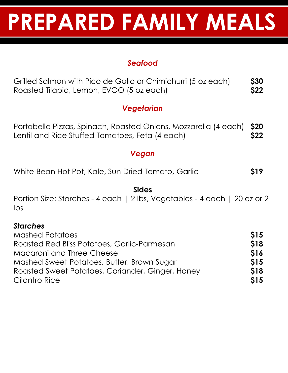#### *Seafood*

| Grilled Salmon with Pico de Gallo or Chimichurri (5 oz each)<br>Roasted Tilapia, Lemon, EVOO (5 oz each)           |                    |  |
|--------------------------------------------------------------------------------------------------------------------|--------------------|--|
| Vegetarian                                                                                                         |                    |  |
| Portobello Pizzas, Spinach, Roasted Onions, Mozzarella (4 each)<br>Lentil and Rice Stuffed Tomatoes, Feta (4 each) | <b>S20</b><br>\$22 |  |

#### *Vegan*

|  |  | White Bean Hot Pot, Kale, Sun Dried Tomato, Garlic |  | \$19 |
|--|--|----------------------------------------------------|--|------|
|  |  |                                                    |  |      |

**Sides** Portion Size: Starches - 4 each | 2 lbs, Vegetables - 4 each | 20 oz or 2 lbs

#### *Starches* Mashed Potatoes **\$15** Roasted Red Bliss Potatoes, Garlic-Parmesan **\$18** Macaroni and Three Cheese **\$16** Mashed Sweet Potatoes, Butter, Brown Sugar **\$15** Roasted Sweet Potatoes, Coriander, Ginger, Honey **\$18** Cilantro Rice **\$15**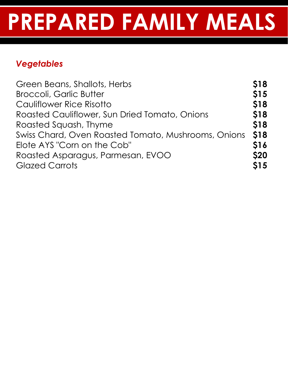### *Vegetables*

| Green Beans, Shallots, Herbs                        | <b>S18</b>  |
|-----------------------------------------------------|-------------|
| <b>Broccoli, Garlic Butter</b>                      | <b>\$15</b> |
| Cauliflower Rice Risotto                            | <b>\$18</b> |
| Roasted Cauliflower, Sun Dried Tomato, Onions       | <b>S18</b>  |
| Roasted Squash, Thyme                               | <b>\$18</b> |
| Swiss Chard, Oven Roasted Tomato, Mushrooms, Onions | <b>\$18</b> |
| Elote AYS "Corn on the Cob"                         | <b>S16</b>  |
| Roasted Asparagus, Parmesan, EVOO                   | <b>S20</b>  |
| <b>Glazed Carrots</b>                               | <b>S15</b>  |